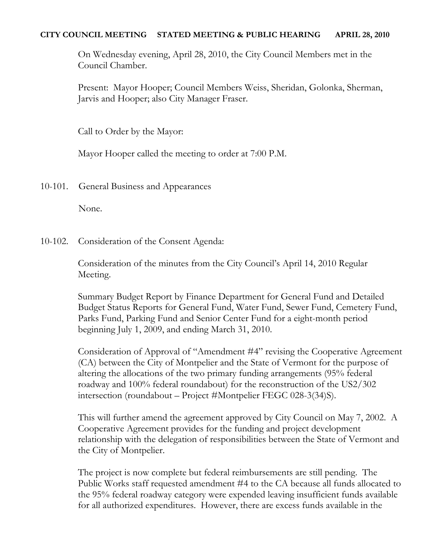### **CITY COUNCIL MEETING STATED MEETING & PUBLIC HEARING APRIL 28, 2010**

On Wednesday evening, April 28, 2010, the City Council Members met in the Council Chamber.

Present: Mayor Hooper; Council Members Weiss, Sheridan, Golonka, Sherman, Jarvis and Hooper; also City Manager Fraser.

Call to Order by the Mayor:

Mayor Hooper called the meeting to order at 7:00 P.M.

10-101. General Business and Appearances

None.

10-102. Consideration of the Consent Agenda:

Consideration of the minutes from the City Council's April 14, 2010 Regular Meeting.

Summary Budget Report by Finance Department for General Fund and Detailed Budget Status Reports for General Fund, Water Fund, Sewer Fund, Cemetery Fund, Parks Fund, Parking Fund and Senior Center Fund for a eight-month period beginning July 1, 2009, and ending March 31, 2010.

Consideration of Approval of "Amendment #4" revising the Cooperative Agreement (CA) between the City of Montpelier and the State of Vermont for the purpose of altering the allocations of the two primary funding arrangements (95% federal roadway and 100% federal roundabout) for the reconstruction of the US2/302 intersection (roundabout – Project #Montpelier FEGC 028-3(34)S).

This will further amend the agreement approved by City Council on May 7, 2002. A Cooperative Agreement provides for the funding and project development relationship with the delegation of responsibilities between the State of Vermont and the City of Montpelier.

The project is now complete but federal reimbursements are still pending. The Public Works staff requested amendment #4 to the CA because all funds allocated to the 95% federal roadway category were expended leaving insufficient funds available for all authorized expenditures. However, there are excess funds available in the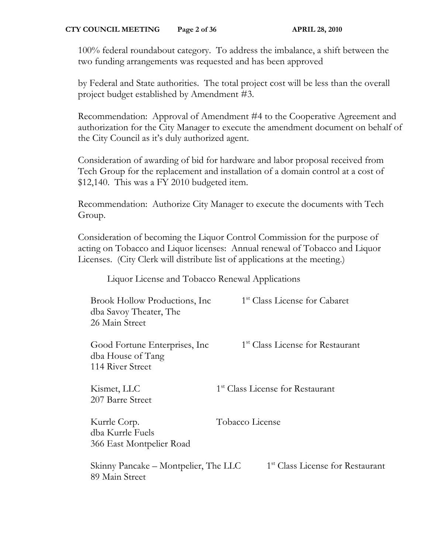100% federal roundabout category. To address the imbalance, a shift between the two funding arrangements was requested and has been approved

by Federal and State authorities. The total project cost will be less than the overall project budget established by Amendment #3.

Recommendation: Approval of Amendment #4 to the Cooperative Agreement and authorization for the City Manager to execute the amendment document on behalf of the City Council as it's duly authorized agent.

Consideration of awarding of bid for hardware and labor proposal received from Tech Group for the replacement and installation of a domain control at a cost of \$12,140. This was a FY 2010 budgeted item.

Recommendation: Authorize City Manager to execute the documents with Tech Group.

Consideration of becoming the Liquor Control Commission for the purpose of acting on Tobacco and Liquor licenses: Annual renewal of Tobacco and Liquor Licenses. (City Clerk will distribute list of applications at the meeting.)

Liquor License and Tobacco Renewal Applications

| Brook Hollow Productions, Inc.<br>dba Savoy Theater, The<br>26 Main Street | 1 <sup>st</sup> Class License for Cabaret    |
|----------------------------------------------------------------------------|----------------------------------------------|
| Good Fortune Enterprises, Inc.<br>dba House of Tang<br>114 River Street    | 1 <sup>st</sup> Class License for Restaurant |
| Kismet, LLC<br>207 Barre Street                                            | 1 <sup>st</sup> Class License for Restaurant |
| Kurrle Corp.<br>dba Kurrle Fuels<br>366 East Montpelier Road               | Tobacco License                              |
| Skinny Pancake – Montpelier, The LLC<br>89 Main Street                     | 1 <sup>st</sup> Class License for Restaurant |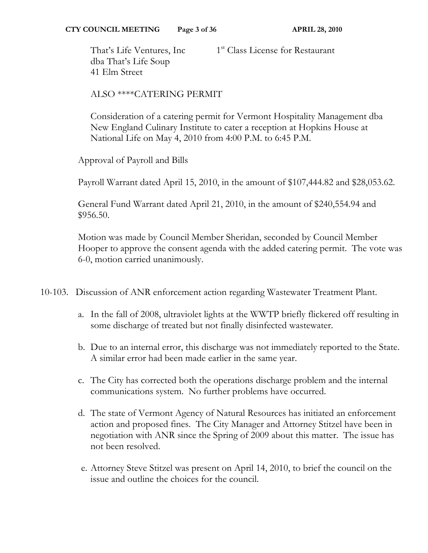That's Life Ventures, Inc 1<sup>st</sup> Class License for Restaurant dba That's Life Soup 41 Elm Street

## ALSO \*\*\*\*CATERING PERMIT

Consideration of a catering permit for Vermont Hospitality Management dba New England Culinary Institute to cater a reception at Hopkins House at National Life on May 4, 2010 from 4:00 P.M. to 6:45 P.M.

Approval of Payroll and Bills

Payroll Warrant dated April 15, 2010, in the amount of \$107,444.82 and \$28,053.62.

General Fund Warrant dated April 21, 2010, in the amount of \$240,554.94 and \$956.50.

Motion was made by Council Member Sheridan, seconded by Council Member Hooper to approve the consent agenda with the added catering permit. The vote was 6-0, motion carried unanimously.

- 10-103. Discussion of ANR enforcement action regarding Wastewater Treatment Plant.
	- a. In the fall of 2008, ultraviolet lights at the WWTP briefly flickered off resulting in some discharge of treated but not finally disinfected wastewater.
	- b. Due to an internal error, this discharge was not immediately reported to the State. A similar error had been made earlier in the same year.
	- c. The City has corrected both the operations discharge problem and the internal communications system. No further problems have occurred.
	- d. The state of Vermont Agency of Natural Resources has initiated an enforcement action and proposed fines. The City Manager and Attorney Stitzel have been in negotiation with ANR since the Spring of 2009 about this matter. The issue has not been resolved.
	- e. Attorney Steve Stitzel was present on April 14, 2010, to brief the council on the issue and outline the choices for the council.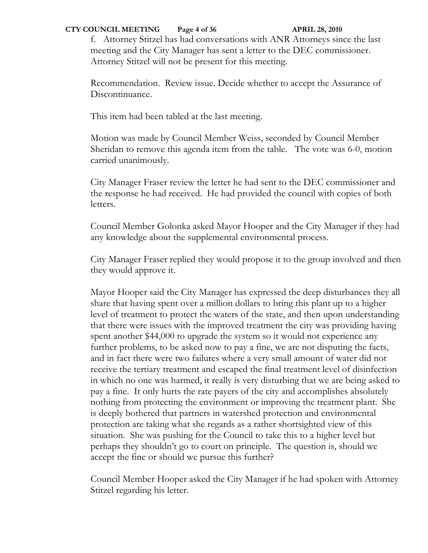### **CTY COUNCIL MEETING** Page 4 of 36 **APRIL 28, 2010**

f. Attorney Stitzel has had conversations with ANR Attorneys since the last meeting and the City Manager has sent a letter to the DEC commissioner. Attorney Stitzel will not be present for this meeting.

Recommendation. Review issue. Decide whether to accept the Assurance of Discontinuance.

This item had been tabled at the last meeting.

Motion was made by Council Member Weiss, seconded by Council Member Sheridan to remove this agenda item from the table. The vote was 6-0, motion carried unanimously.

City Manager Fraser review the letter he had sent to the DEC commissioner and the response he had received. He had provided the council with copies of both letters.

Council Member Golonka asked Mayor Hooper and the City Manager if they had any knowledge about the supplemental environmental process.

City Manager Fraser replied they would propose it to the group involved and then they would approve it.

Mayor Hooper said the City Manager has expressed the deep disturbances they all share that having spent over a million dollars to bring this plant up to a higher level of treatment to protect the waters of the state, and then upon understanding that there were issues with the improved treatment the city was providing having spent another \$44,000 to upgrade the system so it would not experience any further problems, to be asked now to pay a fine, we are not disputing the facts, and in fact there were two failures where a very small amount of water did not receive the tertiary treatment and escaped the final treatment level of disinfection in which no one was harmed, it really is very disturbing that we are being asked to pay a fine. It only hurts the rate payers of the city and accomplishes absolutely nothing from protecting the environment or improving the treatment plant. She is deeply bothered that partners in watershed protection and environmental protection are taking what she regards as a rather shortsighted view of this situation. She was pushing for the Council to take this to a higher level but perhaps they shouldn't go to court on principle. The question is, should we accept the fine or should we pursue this further?

Council Member Hooper asked the City Manager if he had spoken with Attorney Stitzel regarding his letter.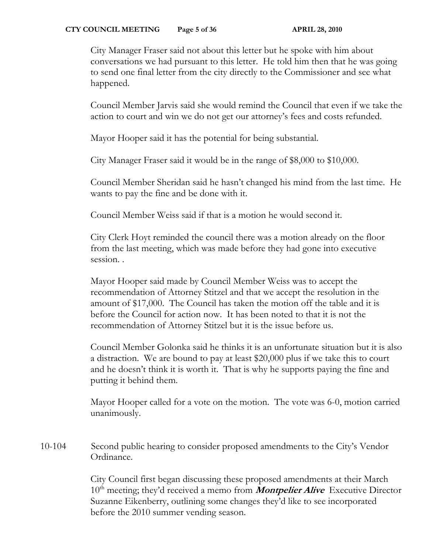### **CTY COUNCIL MEETING** Page 5 of 36 **APRIL 28, 2010**

City Manager Fraser said not about this letter but he spoke with him about conversations we had pursuant to this letter. He told him then that he was going to send one final letter from the city directly to the Commissioner and see what happened.

Council Member Jarvis said she would remind the Council that even if we take the action to court and win we do not get our attorney's fees and costs refunded.

Mayor Hooper said it has the potential for being substantial.

City Manager Fraser said it would be in the range of \$8,000 to \$10,000.

Council Member Sheridan said he hasn't changed his mind from the last time. He wants to pay the fine and be done with it.

Council Member Weiss said if that is a motion he would second it.

City Clerk Hoyt reminded the council there was a motion already on the floor from the last meeting, which was made before they had gone into executive session..

Mayor Hooper said made by Council Member Weiss was to accept the recommendation of Attorney Stitzel and that we accept the resolution in the amount of \$17,000. The Council has taken the motion off the table and it is before the Council for action now. It has been noted to that it is not the recommendation of Attorney Stitzel but it is the issue before us.

Council Member Golonka said he thinks it is an unfortunate situation but it is also a distraction. We are bound to pay at least \$20,000 plus if we take this to court and he doesn't think it is worth it. That is why he supports paying the fine and putting it behind them.

Mayor Hooper called for a vote on the motion. The vote was 6-0, motion carried unanimously.

10-104 Second public hearing to consider proposed amendments to the City's Vendor Ordinance.

> City Council first began discussing these proposed amendments at their March 10<sup>th</sup> meeting; they'd received a memo from **Montpelier Alive** Executive Director Suzanne Eikenberry, outlining some changes they'd like to see incorporated before the 2010 summer vending season.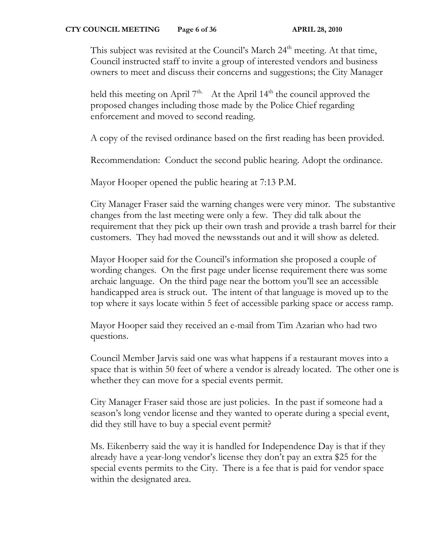This subject was revisited at the Council's March  $24<sup>th</sup>$  meeting. At that time, Council instructed staff to invite a group of interested vendors and business owners to meet and discuss their concerns and suggestions; the City Manager

held this meeting on April 7<sup>th.</sup> At the April 14<sup>th</sup> the council approved the proposed changes including those made by the Police Chief regarding enforcement and moved to second reading.

A copy of the revised ordinance based on the first reading has been provided.

Recommendation: Conduct the second public hearing. Adopt the ordinance.

Mayor Hooper opened the public hearing at 7:13 P.M.

City Manager Fraser said the warning changes were very minor. The substantive changes from the last meeting were only a few. They did talk about the requirement that they pick up their own trash and provide a trash barrel for their customers. They had moved the newsstands out and it will show as deleted.

Mayor Hooper said for the Council's information she proposed a couple of wording changes. On the first page under license requirement there was some archaic language. On the third page near the bottom you'll see an accessible handicapped area is struck out. The intent of that language is moved up to the top where it says locate within 5 feet of accessible parking space or access ramp.

Mayor Hooper said they received an e-mail from Tim Azarian who had two questions.

Council Member Jarvis said one was what happens if a restaurant moves into a space that is within 50 feet of where a vendor is already located. The other one is whether they can move for a special events permit.

City Manager Fraser said those are just policies. In the past if someone had a season's long vendor license and they wanted to operate during a special event, did they still have to buy a special event permit?

Ms. Eikenberry said the way it is handled for Independence Day is that if they already have a year-long vendor's license they don't pay an extra \$25 for the special events permits to the City. There is a fee that is paid for vendor space within the designated area.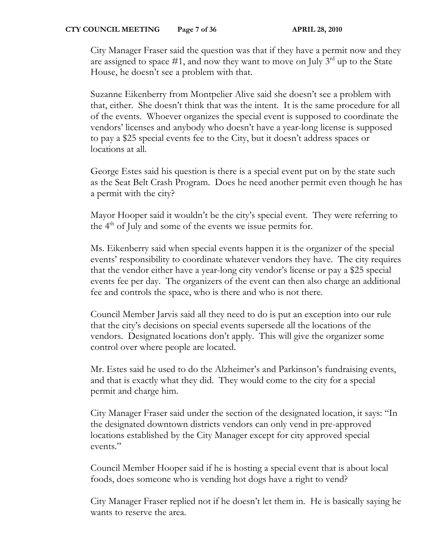City Manager Fraser said the question was that if they have a permit now and they are assigned to space  $#1$ , and now they want to move on July  $3<sup>rd</sup>$  up to the State House, he doesn't see a problem with that.

Suzanne Eikenberry from Montpelier Alive said she doesn't see a problem with that, either. She doesn't think that was the intent. It is the same procedure for all of the events. Whoever organizes the special event is supposed to coordinate the vendors' licenses and anybody who doesn't have a year-long license is supposed to pay a \$25 special events fee to the City, but it doesn't address spaces or locations at all.

George Estes said his question is there is a special event put on by the state such as the Seat Belt Crash Program. Does he need another permit even though he has a permit with the city?

Mayor Hooper said it wouldn't be the city's special event. They were referring to the  $4<sup>th</sup>$  of July and some of the events we issue permits for.

Ms. Eikenberry said when special events happen it is the organizer of the special events' responsibility to coordinate whatever vendors they have. The city requires that the vendor either have a year-long city vendor's license or pay a \$25 special events fee per day. The organizers of the event can then also charge an additional fee and controls the space, who is there and who is not there.

Council Member Jarvis said all they need to do is put an exception into our rule that the city's decisions on special events supersede all the locations of the vendors. Designated locations don't apply. This will give the organizer some control over where people are located.

Mr. Estes said he used to do the Alzheimer's and Parkinson's fundraising events, and that is exactly what they did. They would come to the city for a special permit and charge him.

City Manager Fraser said under the section of the designated location, it says: "In the designated downtown districts vendors can only vend in pre-approved locations established by the City Manager except for city approved special events."

Council Member Hooper said if he is hosting a special event that is about local foods, does someone who is vending hot dogs have a right to vend?

City Manager Fraser replied not if he doesn't let them in. He is basically saying he wants to reserve the area.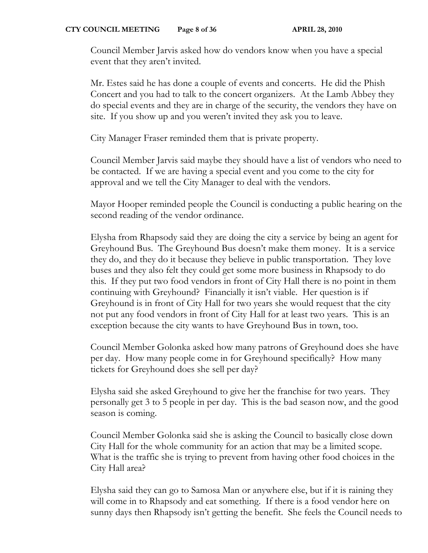Council Member Jarvis asked how do vendors know when you have a special event that they aren't invited.

Mr. Estes said he has done a couple of events and concerts. He did the Phish Concert and you had to talk to the concert organizers. At the Lamb Abbey they do special events and they are in charge of the security, the vendors they have on site. If you show up and you weren't invited they ask you to leave.

City Manager Fraser reminded them that is private property.

Council Member Jarvis said maybe they should have a list of vendors who need to be contacted. If we are having a special event and you come to the city for approval and we tell the City Manager to deal with the vendors.

Mayor Hooper reminded people the Council is conducting a public hearing on the second reading of the vendor ordinance.

Elysha from Rhapsody said they are doing the city a service by being an agent for Greyhound Bus. The Greyhound Bus doesn't make them money. It is a service they do, and they do it because they believe in public transportation. They love buses and they also felt they could get some more business in Rhapsody to do this. If they put two food vendors in front of City Hall there is no point in them continuing with Greyhound? Financially it isn't viable. Her question is if Greyhound is in front of City Hall for two years she would request that the city not put any food vendors in front of City Hall for at least two years. This is an exception because the city wants to have Greyhound Bus in town, too.

Council Member Golonka asked how many patrons of Greyhound does she have per day. How many people come in for Greyhound specifically? How many tickets for Greyhound does she sell per day?

Elysha said she asked Greyhound to give her the franchise for two years. They personally get 3 to 5 people in per day. This is the bad season now, and the good season is coming.

Council Member Golonka said she is asking the Council to basically close down City Hall for the whole community for an action that may be a limited scope. What is the traffic she is trying to prevent from having other food choices in the City Hall area?

Elysha said they can go to Samosa Man or anywhere else, but if it is raining they will come in to Rhapsody and eat something. If there is a food vendor here on sunny days then Rhapsody isn't getting the benefit. She feels the Council needs to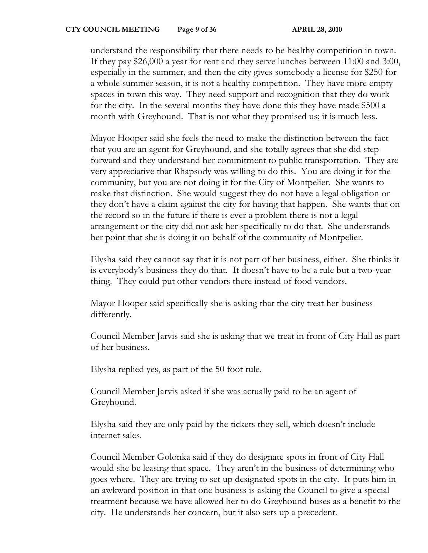understand the responsibility that there needs to be healthy competition in town. If they pay \$26,000 a year for rent and they serve lunches between 11:00 and 3:00, especially in the summer, and then the city gives somebody a license for \$250 for a whole summer season, it is not a healthy competition. They have more empty spaces in town this way. They need support and recognition that they do work for the city. In the several months they have done this they have made \$500 a month with Greyhound. That is not what they promised us; it is much less.

Mayor Hooper said she feels the need to make the distinction between the fact that you are an agent for Greyhound, and she totally agrees that she did step forward and they understand her commitment to public transportation. They are very appreciative that Rhapsody was willing to do this. You are doing it for the community, but you are not doing it for the City of Montpelier. She wants to make that distinction. She would suggest they do not have a legal obligation or they don't have a claim against the city for having that happen. She wants that on the record so in the future if there is ever a problem there is not a legal arrangement or the city did not ask her specifically to do that. She understands her point that she is doing it on behalf of the community of Montpelier.

Elysha said they cannot say that it is not part of her business, either. She thinks it is everybody's business they do that. It doesn't have to be a rule but a two-year thing. They could put other vendors there instead of food vendors.

Mayor Hooper said specifically she is asking that the city treat her business differently.

Council Member Jarvis said she is asking that we treat in front of City Hall as part of her business.

Elysha replied yes, as part of the 50 foot rule.

Council Member Jarvis asked if she was actually paid to be an agent of Greyhound.

Elysha said they are only paid by the tickets they sell, which doesn't include internet sales.

Council Member Golonka said if they do designate spots in front of City Hall would she be leasing that space. They aren't in the business of determining who goes where. They are trying to set up designated spots in the city. It puts him in an awkward position in that one business is asking the Council to give a special treatment because we have allowed her to do Greyhound buses as a benefit to the city. He understands her concern, but it also sets up a precedent.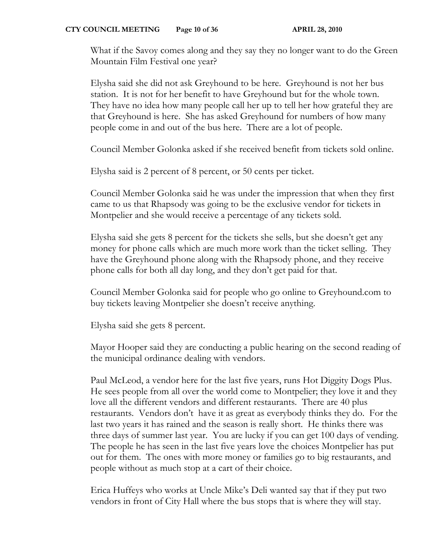What if the Savoy comes along and they say they no longer want to do the Green Mountain Film Festival one year?

Elysha said she did not ask Greyhound to be here. Greyhound is not her bus station. It is not for her benefit to have Greyhound but for the whole town. They have no idea how many people call her up to tell her how grateful they are that Greyhound is here. She has asked Greyhound for numbers of how many people come in and out of the bus here. There are a lot of people.

Council Member Golonka asked if she received benefit from tickets sold online.

Elysha said is 2 percent of 8 percent, or 50 cents per ticket.

Council Member Golonka said he was under the impression that when they first came to us that Rhapsody was going to be the exclusive vendor for tickets in Montpelier and she would receive a percentage of any tickets sold.

Elysha said she gets 8 percent for the tickets she sells, but she doesn't get any money for phone calls which are much more work than the ticket selling. They have the Greyhound phone along with the Rhapsody phone, and they receive phone calls for both all day long, and they don't get paid for that.

Council Member Golonka said for people who go online to Greyhound.com to buy tickets leaving Montpelier she doesn't receive anything.

Elysha said she gets 8 percent.

Mayor Hooper said they are conducting a public hearing on the second reading of the municipal ordinance dealing with vendors.

Paul McLeod, a vendor here for the last five years, runs Hot Diggity Dogs Plus. He sees people from all over the world come to Montpelier; they love it and they love all the different vendors and different restaurants. There are 40 plus restaurants. Vendors don't have it as great as everybody thinks they do. For the last two years it has rained and the season is really short. He thinks there was three days of summer last year. You are lucky if you can get 100 days of vending. The people he has seen in the last five years love the choices Montpelier has put out for them. The ones with more money or families go to big restaurants, and people without as much stop at a cart of their choice.

Erica Huffeys who works at Uncle Mike's Deli wanted say that if they put two vendors in front of City Hall where the bus stops that is where they will stay.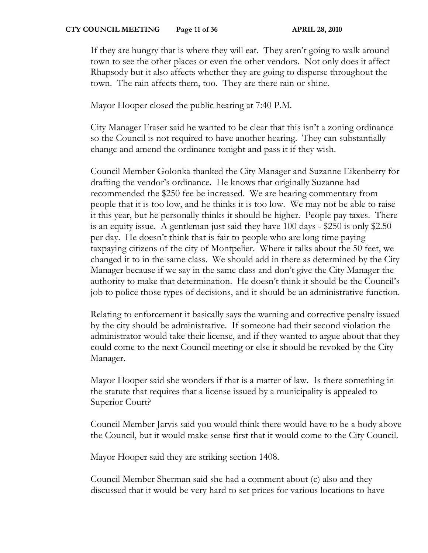If they are hungry that is where they will eat. They aren't going to walk around town to see the other places or even the other vendors. Not only does it affect Rhapsody but it also affects whether they are going to disperse throughout the town. The rain affects them, too. They are there rain or shine.

Mayor Hooper closed the public hearing at 7:40 P.M.

City Manager Fraser said he wanted to be clear that this isn't a zoning ordinance so the Council is not required to have another hearing. They can substantially change and amend the ordinance tonight and pass it if they wish.

Council Member Golonka thanked the City Manager and Suzanne Eikenberry for drafting the vendor's ordinance. He knows that originally Suzanne had recommended the \$250 fee be increased. We are hearing commentary from people that it is too low, and he thinks it is too low. We may not be able to raise it this year, but he personally thinks it should be higher. People pay taxes. There is an equity issue. A gentleman just said they have 100 days - \$250 is only \$2.50 per day. He doesn't think that is fair to people who are long time paying taxpaying citizens of the city of Montpelier. Where it talks about the 50 feet, we changed it to in the same class. We should add in there as determined by the City Manager because if we say in the same class and don't give the City Manager the authority to make that determination. He doesn't think it should be the Council's job to police those types of decisions, and it should be an administrative function.

Relating to enforcement it basically says the warning and corrective penalty issued by the city should be administrative. If someone had their second violation the administrator would take their license, and if they wanted to argue about that they could come to the next Council meeting or else it should be revoked by the City Manager.

Mayor Hooper said she wonders if that is a matter of law. Is there something in the statute that requires that a license issued by a municipality is appealed to Superior Court?

Council Member Jarvis said you would think there would have to be a body above the Council, but it would make sense first that it would come to the City Council.

Mayor Hooper said they are striking section 1408.

Council Member Sherman said she had a comment about (c) also and they discussed that it would be very hard to set prices for various locations to have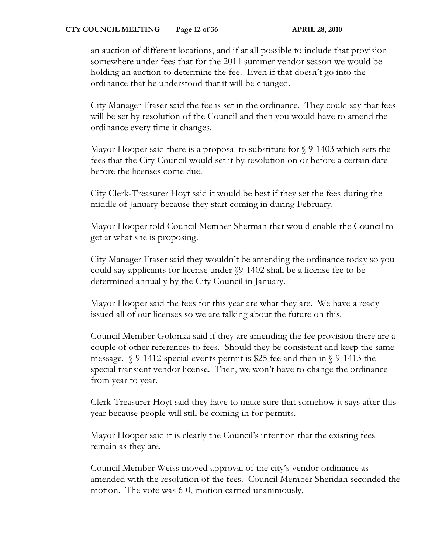an auction of different locations, and if at all possible to include that provision somewhere under fees that for the 2011 summer vendor season we would be holding an auction to determine the fee. Even if that doesn't go into the ordinance that be understood that it will be changed.

City Manager Fraser said the fee is set in the ordinance. They could say that fees will be set by resolution of the Council and then you would have to amend the ordinance every time it changes.

Mayor Hooper said there is a proposal to substitute for § 9-1403 which sets the fees that the City Council would set it by resolution on or before a certain date before the licenses come due.

City Clerk-Treasurer Hoyt said it would be best if they set the fees during the middle of January because they start coming in during February.

Mayor Hooper told Council Member Sherman that would enable the Council to get at what she is proposing.

City Manager Fraser said they wouldn't be amending the ordinance today so you could say applicants for license under §9-1402 shall be a license fee to be determined annually by the City Council in January.

Mayor Hooper said the fees for this year are what they are. We have already issued all of our licenses so we are talking about the future on this.

Council Member Golonka said if they are amending the fee provision there are a couple of other references to fees. Should they be consistent and keep the same message. § 9-1412 special events permit is \$25 fee and then in § 9-1413 the special transient vendor license. Then, we won't have to change the ordinance from year to year.

Clerk-Treasurer Hoyt said they have to make sure that somehow it says after this year because people will still be coming in for permits.

Mayor Hooper said it is clearly the Council's intention that the existing fees remain as they are.

Council Member Weiss moved approval of the city's vendor ordinance as amended with the resolution of the fees. Council Member Sheridan seconded the motion. The vote was 6-0, motion carried unanimously.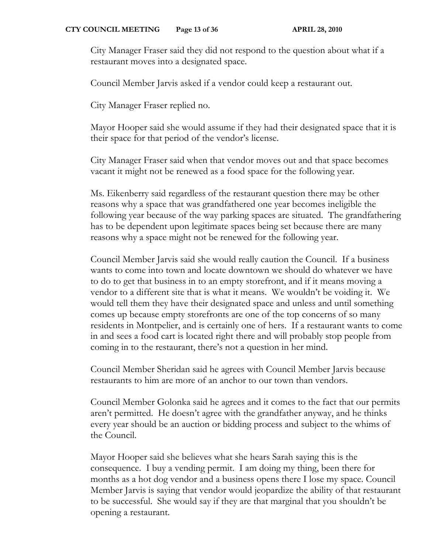City Manager Fraser said they did not respond to the question about what if a restaurant moves into a designated space.

Council Member Jarvis asked if a vendor could keep a restaurant out.

City Manager Fraser replied no.

Mayor Hooper said she would assume if they had their designated space that it is their space for that period of the vendor's license.

City Manager Fraser said when that vendor moves out and that space becomes vacant it might not be renewed as a food space for the following year.

Ms. Eikenberry said regardless of the restaurant question there may be other reasons why a space that was grandfathered one year becomes ineligible the following year because of the way parking spaces are situated. The grandfathering has to be dependent upon legitimate spaces being set because there are many reasons why a space might not be renewed for the following year.

Council Member Jarvis said she would really caution the Council. If a business wants to come into town and locate downtown we should do whatever we have to do to get that business in to an empty storefront, and if it means moving a vendor to a different site that is what it means. We wouldn't be voiding it. We would tell them they have their designated space and unless and until something comes up because empty storefronts are one of the top concerns of so many residents in Montpelier, and is certainly one of hers. If a restaurant wants to come in and sees a food cart is located right there and will probably stop people from coming in to the restaurant, there's not a question in her mind.

Council Member Sheridan said he agrees with Council Member Jarvis because restaurants to him are more of an anchor to our town than vendors.

Council Member Golonka said he agrees and it comes to the fact that our permits aren't permitted. He doesn't agree with the grandfather anyway, and he thinks every year should be an auction or bidding process and subject to the whims of the Council.

Mayor Hooper said she believes what she hears Sarah saying this is the consequence. I buy a vending permit. I am doing my thing, been there for months as a hot dog vendor and a business opens there I lose my space. Council Member Jarvis is saying that vendor would jeopardize the ability of that restaurant to be successful. She would say if they are that marginal that you shouldn't be opening a restaurant.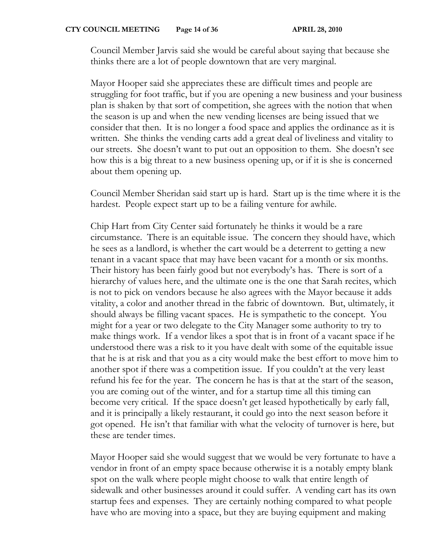Council Member Jarvis said she would be careful about saying that because she thinks there are a lot of people downtown that are very marginal.

Mayor Hooper said she appreciates these are difficult times and people are struggling for foot traffic, but if you are opening a new business and your business plan is shaken by that sort of competition, she agrees with the notion that when the season is up and when the new vending licenses are being issued that we consider that then. It is no longer a food space and applies the ordinance as it is written. She thinks the vending carts add a great deal of liveliness and vitality to our streets. She doesn't want to put out an opposition to them. She doesn't see how this is a big threat to a new business opening up, or if it is she is concerned about them opening up.

Council Member Sheridan said start up is hard. Start up is the time where it is the hardest. People expect start up to be a failing venture for awhile.

Chip Hart from City Center said fortunately he thinks it would be a rare circumstance. There is an equitable issue. The concern they should have, which he sees as a landlord, is whether the cart would be a deterrent to getting a new tenant in a vacant space that may have been vacant for a month or six months. Their history has been fairly good but not everybody's has. There is sort of a hierarchy of values here, and the ultimate one is the one that Sarah recites, which is not to pick on vendors because he also agrees with the Mayor because it adds vitality, a color and another thread in the fabric of downtown. But, ultimately, it should always be filling vacant spaces. He is sympathetic to the concept. You might for a year or two delegate to the City Manager some authority to try to make things work. If a vendor likes a spot that is in front of a vacant space if he understood there was a risk to it you have dealt with some of the equitable issue that he is at risk and that you as a city would make the best effort to move him to another spot if there was a competition issue. If you couldn't at the very least refund his fee for the year. The concern he has is that at the start of the season, you are coming out of the winter, and for a startup time all this timing can become very critical. If the space doesn't get leased hypothetically by early fall, and it is principally a likely restaurant, it could go into the next season before it got opened. He isn't that familiar with what the velocity of turnover is here, but these are tender times.

Mayor Hooper said she would suggest that we would be very fortunate to have a vendor in front of an empty space because otherwise it is a notably empty blank spot on the walk where people might choose to walk that entire length of sidewalk and other businesses around it could suffer. A vending cart has its own startup fees and expenses. They are certainly nothing compared to what people have who are moving into a space, but they are buying equipment and making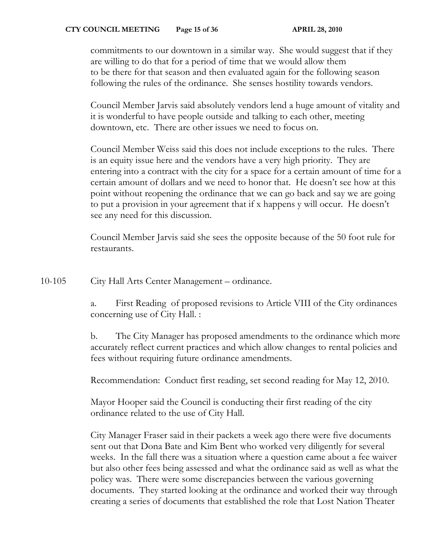commitments to our downtown in a similar way. She would suggest that if they are willing to do that for a period of time that we would allow them to be there for that season and then evaluated again for the following season following the rules of the ordinance. She senses hostility towards vendors.

Council Member Jarvis said absolutely vendors lend a huge amount of vitality and it is wonderful to have people outside and talking to each other, meeting downtown, etc. There are other issues we need to focus on.

Council Member Weiss said this does not include exceptions to the rules. There is an equity issue here and the vendors have a very high priority. They are entering into a contract with the city for a space for a certain amount of time for a certain amount of dollars and we need to honor that. He doesn't see how at this point without reopening the ordinance that we can go back and say we are going to put a provision in your agreement that if x happens y will occur. He doesn't see any need for this discussion.

Council Member Jarvis said she sees the opposite because of the 50 foot rule for restaurants.

10-105 City Hall Arts Center Management – ordinance.

a. First Reading of proposed revisions to Article VIII of the City ordinances concerning use of City Hall. :

b. The City Manager has proposed amendments to the ordinance which more accurately reflect current practices and which allow changes to rental policies and fees without requiring future ordinance amendments.

Recommendation: Conduct first reading, set second reading for May 12, 2010.

Mayor Hooper said the Council is conducting their first reading of the city ordinance related to the use of City Hall.

City Manager Fraser said in their packets a week ago there were five documents sent out that Dona Bate and Kim Bent who worked very diligently for several weeks. In the fall there was a situation where a question came about a fee waiver but also other fees being assessed and what the ordinance said as well as what the policy was. There were some discrepancies between the various governing documents. They started looking at the ordinance and worked their way through creating a series of documents that established the role that Lost Nation Theater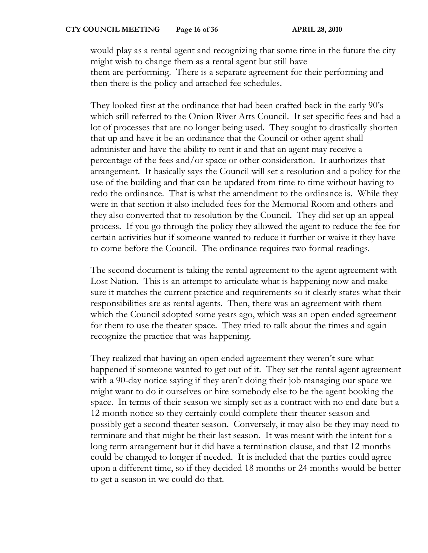would play as a rental agent and recognizing that some time in the future the city might wish to change them as a rental agent but still have them are performing. There is a separate agreement for their performing and then there is the policy and attached fee schedules.

They looked first at the ordinance that had been crafted back in the early 90's which still referred to the Onion River Arts Council. It set specific fees and had a lot of processes that are no longer being used. They sought to drastically shorten that up and have it be an ordinance that the Council or other agent shall administer and have the ability to rent it and that an agent may receive a percentage of the fees and/or space or other consideration. It authorizes that arrangement. It basically says the Council will set a resolution and a policy for the use of the building and that can be updated from time to time without having to redo the ordinance. That is what the amendment to the ordinance is. While they were in that section it also included fees for the Memorial Room and others and they also converted that to resolution by the Council. They did set up an appeal process. If you go through the policy they allowed the agent to reduce the fee for certain activities but if someone wanted to reduce it further or waive it they have to come before the Council. The ordinance requires two formal readings.

The second document is taking the rental agreement to the agent agreement with Lost Nation. This is an attempt to articulate what is happening now and make sure it matches the current practice and requirements so it clearly states what their responsibilities are as rental agents. Then, there was an agreement with them which the Council adopted some years ago, which was an open ended agreement for them to use the theater space. They tried to talk about the times and again recognize the practice that was happening.

They realized that having an open ended agreement they weren't sure what happened if someone wanted to get out of it. They set the rental agent agreement with a 90-day notice saying if they aren't doing their job managing our space we might want to do it ourselves or hire somebody else to be the agent booking the space. In terms of their season we simply set as a contract with no end date but a 12 month notice so they certainly could complete their theater season and possibly get a second theater season. Conversely, it may also be they may need to terminate and that might be their last season. It was meant with the intent for a long term arrangement but it did have a termination clause, and that 12 months could be changed to longer if needed. It is included that the parties could agree upon a different time, so if they decided 18 months or 24 months would be better to get a season in we could do that.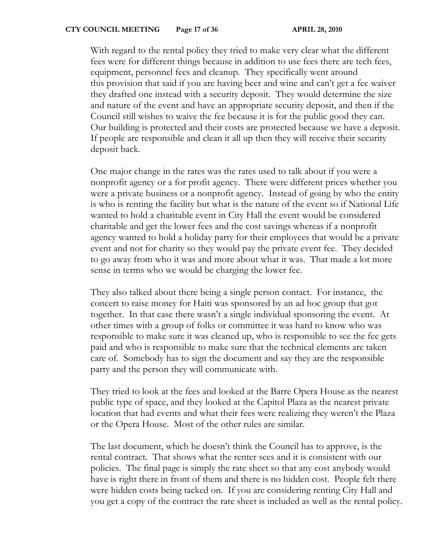With regard to the rental policy they tried to make very clear what the different fees were for different things because in addition to use fees there are tech fees, equipment, personnel fees and cleanup. They specifically went around this provision that said if you are having beer and wine and can't get a fee waiver they drafted one instead with a security deposit. They would determine the size and nature of the event and have an appropriate security deposit, and then if the Council still wishes to waive the fee because it is for the public good they can. Our building is protected and their costs are protected because we have a deposit. If people are responsible and clean it all up then they will receive their security deposit back.

One major change in the rates was the rates used to talk about if you were a nonprofit agency or a for profit agency. There were different prices whether you were a private business or a nonprofit agency. Instead of going by who the entity is who is renting the facility but what is the nature of the event so if National Life wanted to hold a charitable event in City Hall the event would be considered charitable and get the lower fees and the cost savings whereas if a nonprofit agency wanted to hold a holiday party for their employees that would be a private event and not for charity so they would pay the private event fee. They decided to go away from who it was and more about what it was. That made a lot more sense in terms who we would be charging the lower fee.

They also talked about there being a single person contact. For instance, the concert to raise money for Haiti was sponsored by an ad hoc group that got together. In that case there wasn't a single individual sponsoring the event. At other times with a group of folks or committee it was hard to know who was responsible to make sure it was cleaned up, who is responsible to see the fee gets paid and who is responsible to make sure that the technical elements are taken care of. Somebody has to sign the document and say they are the responsible party and the person they will communicate with.

They tried to look at the fees and looked at the Barre Opera House as the nearest public type of space, and they looked at the Capitol Plaza as the nearest private location that had events and what their fees were realizing they weren't the Plaza or the Opera House. Most of the other rules are similar.

The last document, which he doesn't think the Council has to approve, is the rental contract. That shows what the renter sees and it is consistent with our policies. The final page is simply the rate sheet so that any cost anybody would have is right there in front of them and there is no hidden cost. People felt there were hidden costs being tacked on. If you are considering renting City Hall and you get a copy of the contract the rate sheet is included as well as the rental policy.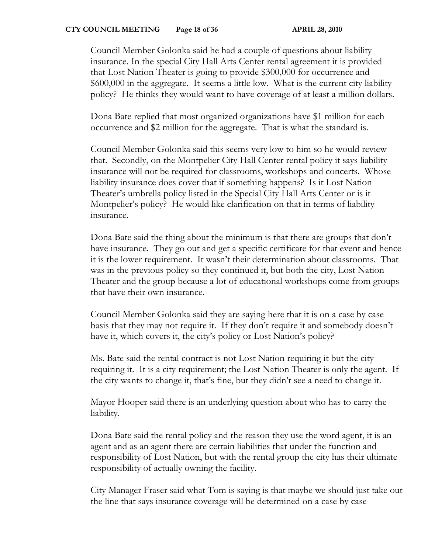Council Member Golonka said he had a couple of questions about liability insurance. In the special City Hall Arts Center rental agreement it is provided that Lost Nation Theater is going to provide \$300,000 for occurrence and \$600,000 in the aggregate. It seems a little low. What is the current city liability policy? He thinks they would want to have coverage of at least a million dollars.

Dona Bate replied that most organized organizations have \$1 million for each occurrence and \$2 million for the aggregate. That is what the standard is.

Council Member Golonka said this seems very low to him so he would review that. Secondly, on the Montpelier City Hall Center rental policy it says liability insurance will not be required for classrooms, workshops and concerts. Whose liability insurance does cover that if something happens? Is it Lost Nation Theater's umbrella policy listed in the Special City Hall Arts Center or is it Montpelier's policy? He would like clarification on that in terms of liability insurance.

Dona Bate said the thing about the minimum is that there are groups that don't have insurance. They go out and get a specific certificate for that event and hence it is the lower requirement. It wasn't their determination about classrooms. That was in the previous policy so they continued it, but both the city, Lost Nation Theater and the group because a lot of educational workshops come from groups that have their own insurance.

Council Member Golonka said they are saying here that it is on a case by case basis that they may not require it. If they don't require it and somebody doesn't have it, which covers it, the city's policy or Lost Nation's policy?

Ms. Bate said the rental contract is not Lost Nation requiring it but the city requiring it. It is a city requirement; the Lost Nation Theater is only the agent. If the city wants to change it, that's fine, but they didn't see a need to change it.

Mayor Hooper said there is an underlying question about who has to carry the liability.

Dona Bate said the rental policy and the reason they use the word agent, it is an agent and as an agent there are certain liabilities that under the function and responsibility of Lost Nation, but with the rental group the city has their ultimate responsibility of actually owning the facility.

City Manager Fraser said what Tom is saying is that maybe we should just take out the line that says insurance coverage will be determined on a case by case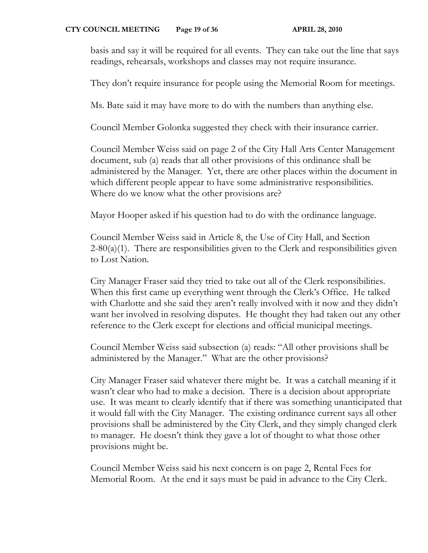basis and say it will be required for all events. They can take out the line that says readings, rehearsals, workshops and classes may not require insurance.

They don't require insurance for people using the Memorial Room for meetings.

Ms. Bate said it may have more to do with the numbers than anything else.

Council Member Golonka suggested they check with their insurance carrier.

Council Member Weiss said on page 2 of the City Hall Arts Center Management document, sub (a) reads that all other provisions of this ordinance shall be administered by the Manager. Yet, there are other places within the document in which different people appear to have some administrative responsibilities. Where do we know what the other provisions are?

Mayor Hooper asked if his question had to do with the ordinance language.

Council Member Weiss said in Article 8, the Use of City Hall, and Section  $2-80(a)(1)$ . There are responsibilities given to the Clerk and responsibilities given to Lost Nation.

City Manager Fraser said they tried to take out all of the Clerk responsibilities. When this first came up everything went through the Clerk's Office. He talked with Charlotte and she said they aren't really involved with it now and they didn't want her involved in resolving disputes. He thought they had taken out any other reference to the Clerk except for elections and official municipal meetings.

Council Member Weiss said subsection (a) reads: "All other provisions shall be administered by the Manager." What are the other provisions?

City Manager Fraser said whatever there might be. It was a catchall meaning if it wasn't clear who had to make a decision. There is a decision about appropriate use. It was meant to clearly identify that if there was something unanticipated that it would fall with the City Manager. The existing ordinance current says all other provisions shall be administered by the City Clerk, and they simply changed clerk to manager. He doesn't think they gave a lot of thought to what those other provisions might be.

Council Member Weiss said his next concern is on page 2, Rental Fees for Memorial Room. At the end it says must be paid in advance to the City Clerk.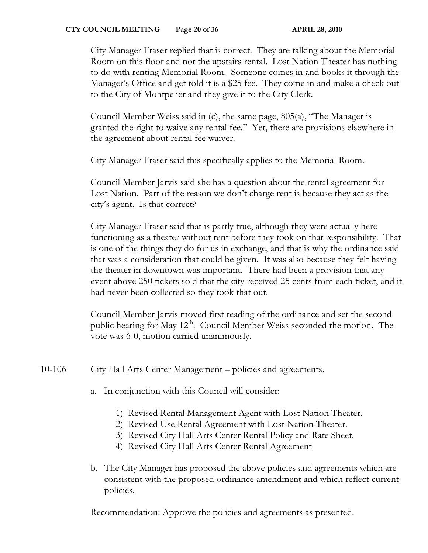#### **CTY COUNCIL MEETING** Page 20 of 36 **APRIL 28, 2010**

City Manager Fraser replied that is correct. They are talking about the Memorial Room on this floor and not the upstairs rental. Lost Nation Theater has nothing to do with renting Memorial Room. Someone comes in and books it through the Manager's Office and get told it is a \$25 fee. They come in and make a check out to the City of Montpelier and they give it to the City Clerk.

Council Member Weiss said in (c), the same page, 805(a), "The Manager is granted the right to waive any rental fee." Yet, there are provisions elsewhere in the agreement about rental fee waiver.

City Manager Fraser said this specifically applies to the Memorial Room.

Council Member Jarvis said she has a question about the rental agreement for Lost Nation. Part of the reason we don't charge rent is because they act as the city's agent. Is that correct?

City Manager Fraser said that is partly true, although they were actually here functioning as a theater without rent before they took on that responsibility. That is one of the things they do for us in exchange, and that is why the ordinance said that was a consideration that could be given. It was also because they felt having the theater in downtown was important. There had been a provision that any event above 250 tickets sold that the city received 25 cents from each ticket, and it had never been collected so they took that out.

Council Member Jarvis moved first reading of the ordinance and set the second public hearing for May 12<sup>th</sup>. Council Member Weiss seconded the motion. The vote was 6-0, motion carried unanimously.

10-106 City Hall Arts Center Management – policies and agreements.

- a. In conjunction with this Council will consider:
	- 1) Revised Rental Management Agent with Lost Nation Theater.
	- 2) Revised Use Rental Agreement with Lost Nation Theater.
	- 3) Revised City Hall Arts Center Rental Policy and Rate Sheet.
	- 4) Revised City Hall Arts Center Rental Agreement
- b. The City Manager has proposed the above policies and agreements which are consistent with the proposed ordinance amendment and which reflect current policies.

Recommendation: Approve the policies and agreements as presented.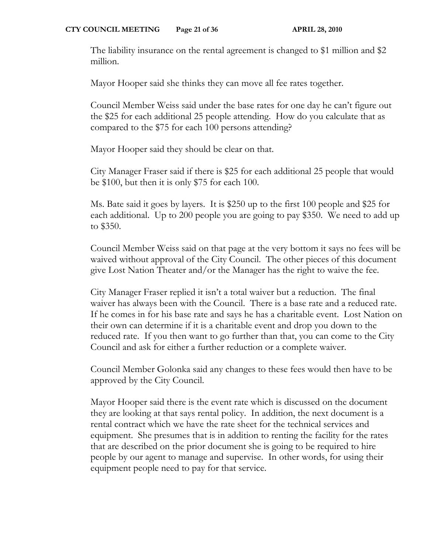The liability insurance on the rental agreement is changed to \$1 million and \$2 million.

Mayor Hooper said she thinks they can move all fee rates together.

Council Member Weiss said under the base rates for one day he can't figure out the \$25 for each additional 25 people attending. How do you calculate that as compared to the \$75 for each 100 persons attending?

Mayor Hooper said they should be clear on that.

City Manager Fraser said if there is \$25 for each additional 25 people that would be \$100, but then it is only \$75 for each 100.

Ms. Bate said it goes by layers. It is \$250 up to the first 100 people and \$25 for each additional. Up to 200 people you are going to pay \$350. We need to add up to \$350.

Council Member Weiss said on that page at the very bottom it says no fees will be waived without approval of the City Council. The other pieces of this document give Lost Nation Theater and/or the Manager has the right to waive the fee.

City Manager Fraser replied it isn't a total waiver but a reduction. The final waiver has always been with the Council. There is a base rate and a reduced rate. If he comes in for his base rate and says he has a charitable event. Lost Nation on their own can determine if it is a charitable event and drop you down to the reduced rate. If you then want to go further than that, you can come to the City Council and ask for either a further reduction or a complete waiver.

Council Member Golonka said any changes to these fees would then have to be approved by the City Council.

Mayor Hooper said there is the event rate which is discussed on the document they are looking at that says rental policy. In addition, the next document is a rental contract which we have the rate sheet for the technical services and equipment. She presumes that is in addition to renting the facility for the rates that are described on the prior document she is going to be required to hire people by our agent to manage and supervise. In other words, for using their equipment people need to pay for that service.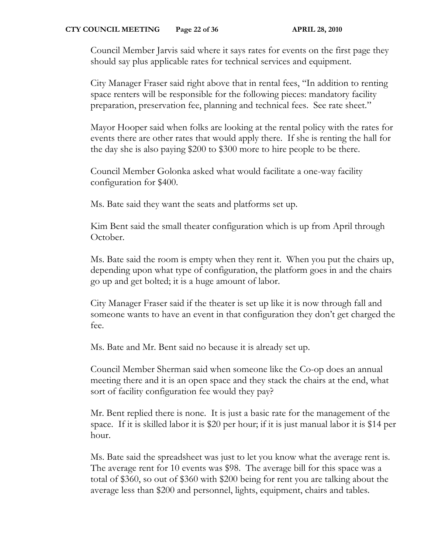Council Member Jarvis said where it says rates for events on the first page they should say plus applicable rates for technical services and equipment.

City Manager Fraser said right above that in rental fees, "In addition to renting space renters will be responsible for the following pieces: mandatory facility preparation, preservation fee, planning and technical fees. See rate sheet."

Mayor Hooper said when folks are looking at the rental policy with the rates for events there are other rates that would apply there. If she is renting the hall for the day she is also paying \$200 to \$300 more to hire people to be there.

Council Member Golonka asked what would facilitate a one-way facility configuration for \$400.

Ms. Bate said they want the seats and platforms set up.

Kim Bent said the small theater configuration which is up from April through October.

Ms. Bate said the room is empty when they rent it. When you put the chairs up, depending upon what type of configuration, the platform goes in and the chairs go up and get bolted; it is a huge amount of labor.

City Manager Fraser said if the theater is set up like it is now through fall and someone wants to have an event in that configuration they don't get charged the fee.

Ms. Bate and Mr. Bent said no because it is already set up.

Council Member Sherman said when someone like the Co-op does an annual meeting there and it is an open space and they stack the chairs at the end, what sort of facility configuration fee would they pay?

Mr. Bent replied there is none. It is just a basic rate for the management of the space. If it is skilled labor it is \$20 per hour; if it is just manual labor it is \$14 per hour.

Ms. Bate said the spreadsheet was just to let you know what the average rent is. The average rent for 10 events was \$98. The average bill for this space was a total of \$360, so out of \$360 with \$200 being for rent you are talking about the average less than \$200 and personnel, lights, equipment, chairs and tables.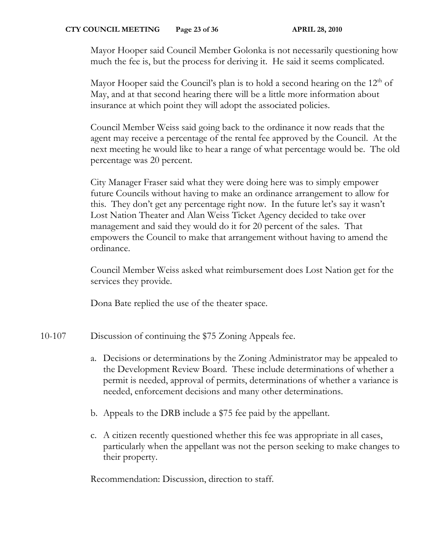Mayor Hooper said Council Member Golonka is not necessarily questioning how much the fee is, but the process for deriving it. He said it seems complicated.

Mayor Hooper said the Council's plan is to hold a second hearing on the  $12<sup>th</sup>$  of May, and at that second hearing there will be a little more information about insurance at which point they will adopt the associated policies.

Council Member Weiss said going back to the ordinance it now reads that the agent may receive a percentage of the rental fee approved by the Council. At the next meeting he would like to hear a range of what percentage would be. The old percentage was 20 percent.

City Manager Fraser said what they were doing here was to simply empower future Councils without having to make an ordinance arrangement to allow for this. They don't get any percentage right now. In the future let's say it wasn't Lost Nation Theater and Alan Weiss Ticket Agency decided to take over management and said they would do it for 20 percent of the sales. That empowers the Council to make that arrangement without having to amend the ordinance.

Council Member Weiss asked what reimbursement does Lost Nation get for the services they provide.

Dona Bate replied the use of the theater space.

- 10-107 Discussion of continuing the \$75 Zoning Appeals fee.
	- a. Decisions or determinations by the Zoning Administrator may be appealed to the Development Review Board. These include determinations of whether a permit is needed, approval of permits, determinations of whether a variance is needed, enforcement decisions and many other determinations.
	- b. Appeals to the DRB include a \$75 fee paid by the appellant.
	- c. A citizen recently questioned whether this fee was appropriate in all cases, particularly when the appellant was not the person seeking to make changes to their property.

Recommendation: Discussion, direction to staff.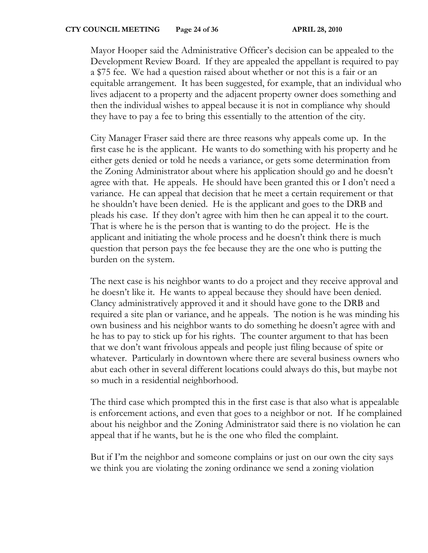Mayor Hooper said the Administrative Officer's decision can be appealed to the Development Review Board. If they are appealed the appellant is required to pay a \$75 fee. We had a question raised about whether or not this is a fair or an equitable arrangement. It has been suggested, for example, that an individual who lives adjacent to a property and the adjacent property owner does something and then the individual wishes to appeal because it is not in compliance why should they have to pay a fee to bring this essentially to the attention of the city.

City Manager Fraser said there are three reasons why appeals come up. In the first case he is the applicant. He wants to do something with his property and he either gets denied or told he needs a variance, or gets some determination from the Zoning Administrator about where his application should go and he doesn't agree with that. He appeals. He should have been granted this or I don't need a variance. He can appeal that decision that he meet a certain requirement or that he shouldn't have been denied. He is the applicant and goes to the DRB and pleads his case. If they don't agree with him then he can appeal it to the court. That is where he is the person that is wanting to do the project. He is the applicant and initiating the whole process and he doesn't think there is much question that person pays the fee because they are the one who is putting the burden on the system.

The next case is his neighbor wants to do a project and they receive approval and he doesn't like it. He wants to appeal because they should have been denied. Clancy administratively approved it and it should have gone to the DRB and required a site plan or variance, and he appeals. The notion is he was minding his own business and his neighbor wants to do something he doesn't agree with and he has to pay to stick up for his rights. The counter argument to that has been that we don't want frivolous appeals and people just filing because of spite or whatever. Particularly in downtown where there are several business owners who abut each other in several different locations could always do this, but maybe not so much in a residential neighborhood.

The third case which prompted this in the first case is that also what is appealable is enforcement actions, and even that goes to a neighbor or not. If he complained about his neighbor and the Zoning Administrator said there is no violation he can appeal that if he wants, but he is the one who filed the complaint.

But if I'm the neighbor and someone complains or just on our own the city says we think you are violating the zoning ordinance we send a zoning violation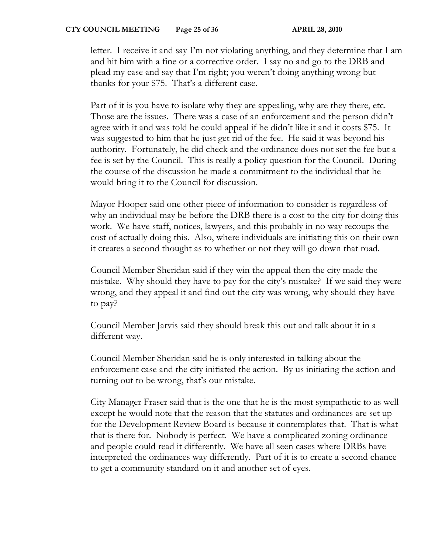letter. I receive it and say I'm not violating anything, and they determine that I am and hit him with a fine or a corrective order. I say no and go to the DRB and plead my case and say that I'm right; you weren't doing anything wrong but thanks for your \$75. That's a different case.

Part of it is you have to isolate why they are appealing, why are they there, etc. Those are the issues. There was a case of an enforcement and the person didn't agree with it and was told he could appeal if he didn't like it and it costs \$75. It was suggested to him that he just get rid of the fee. He said it was beyond his authority. Fortunately, he did check and the ordinance does not set the fee but a fee is set by the Council. This is really a policy question for the Council. During the course of the discussion he made a commitment to the individual that he would bring it to the Council for discussion.

Mayor Hooper said one other piece of information to consider is regardless of why an individual may be before the DRB there is a cost to the city for doing this work. We have staff, notices, lawyers, and this probably in no way recoups the cost of actually doing this. Also, where individuals are initiating this on their own it creates a second thought as to whether or not they will go down that road.

Council Member Sheridan said if they win the appeal then the city made the mistake. Why should they have to pay for the city's mistake? If we said they were wrong, and they appeal it and find out the city was wrong, why should they have to pay?

Council Member Jarvis said they should break this out and talk about it in a different way.

Council Member Sheridan said he is only interested in talking about the enforcement case and the city initiated the action. By us initiating the action and turning out to be wrong, that's our mistake.

City Manager Fraser said that is the one that he is the most sympathetic to as well except he would note that the reason that the statutes and ordinances are set up for the Development Review Board is because it contemplates that. That is what that is there for. Nobody is perfect. We have a complicated zoning ordinance and people could read it differently. We have all seen cases where DRBs have interpreted the ordinances way differently. Part of it is to create a second chance to get a community standard on it and another set of eyes.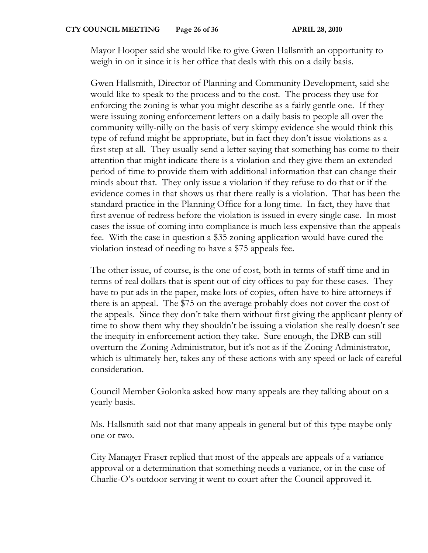Mayor Hooper said she would like to give Gwen Hallsmith an opportunity to weigh in on it since it is her office that deals with this on a daily basis.

Gwen Hallsmith, Director of Planning and Community Development, said she would like to speak to the process and to the cost. The process they use for enforcing the zoning is what you might describe as a fairly gentle one. If they were issuing zoning enforcement letters on a daily basis to people all over the community willy-nilly on the basis of very skimpy evidence she would think this type of refund might be appropriate, but in fact they don't issue violations as a first step at all. They usually send a letter saying that something has come to their attention that might indicate there is a violation and they give them an extended period of time to provide them with additional information that can change their minds about that. They only issue a violation if they refuse to do that or if the evidence comes in that shows us that there really is a violation. That has been the standard practice in the Planning Office for a long time. In fact, they have that first avenue of redress before the violation is issued in every single case. In most cases the issue of coming into compliance is much less expensive than the appeals fee. With the case in question a \$35 zoning application would have cured the violation instead of needing to have a \$75 appeals fee.

The other issue, of course, is the one of cost, both in terms of staff time and in terms of real dollars that is spent out of city offices to pay for these cases. They have to put ads in the paper, make lots of copies, often have to hire attorneys if there is an appeal. The \$75 on the average probably does not cover the cost of the appeals. Since they don't take them without first giving the applicant plenty of time to show them why they shouldn't be issuing a violation she really doesn't see the inequity in enforcement action they take. Sure enough, the DRB can still overturn the Zoning Administrator, but it's not as if the Zoning Administrator, which is ultimately her, takes any of these actions with any speed or lack of careful consideration.

Council Member Golonka asked how many appeals are they talking about on a yearly basis.

Ms. Hallsmith said not that many appeals in general but of this type maybe only one or two.

City Manager Fraser replied that most of the appeals are appeals of a variance approval or a determination that something needs a variance, or in the case of Charlie-O's outdoor serving it went to court after the Council approved it.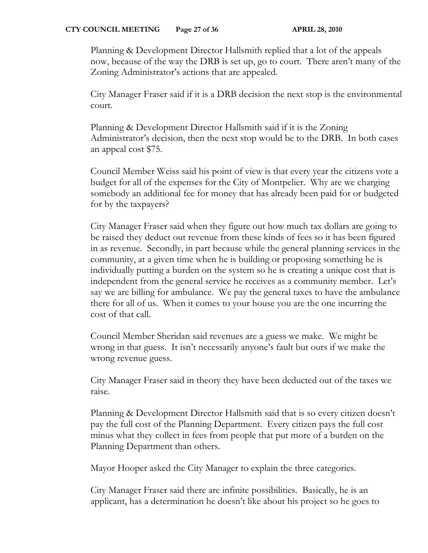Planning & Development Director Hallsmith replied that a lot of the appeals now, because of the way the DRB is set up, go to court. There aren't many of the Zoning Administrator's actions that are appealed.

City Manager Fraser said if it is a DRB decision the next stop is the environmental court.

Planning & Development Director Hallsmith said if it is the Zoning Administrator's decision, then the next stop would be to the DRB. In both cases an appeal cost \$75.

Council Member Weiss said his point of view is that every year the citizens vote a budget for all of the expenses for the City of Montpelier. Why are we charging somebody an additional fee for money that has already been paid for or budgeted for by the taxpayers?

City Manager Fraser said when they figure out how much tax dollars are going to be raised they deduct out revenue from these kinds of fees so it has been figured in as revenue. Secondly, in part because while the general planning services in the community, at a given time when he is building or proposing something he is individually putting a burden on the system so he is creating a unique cost that is independent from the general service he receives as a community member. Let's say we are billing for ambulance. We pay the general taxes to have the ambulance there for all of us. When it comes to your house you are the one incurring the cost of that call.

Council Member Sheridan said revenues are a guess we make. We might be wrong in that guess. It isn't necessarily anyone's fault but ours if we make the wrong revenue guess.

City Manager Fraser said in theory they have been deducted out of the taxes we raise.

Planning & Development Director Hallsmith said that is so every citizen doesn't pay the full cost of the Planning Department. Every citizen pays the full cost minus what they collect in fees from people that put more of a burden on the Planning Department than others.

Mayor Hooper asked the City Manager to explain the three categories.

City Manager Fraser said there are infinite possibilities. Basically, he is an applicant, has a determination he doesn't like about his project so he goes to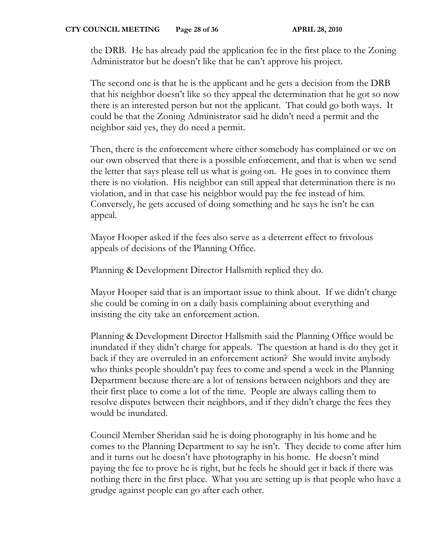the DRB. He has already paid the application fee in the first place to the Zoning Administrator but he doesn't like that he can't approve his project.

The second one is that he is the applicant and he gets a decision from the DRB that his neighbor doesn't like so they appeal the determination that he got so now there is an interested person but not the applicant. That could go both ways. It could be that the Zoning Administrator said he didn't need a permit and the neighbor said yes, they do need a permit.

Then, there is the enforcement where either somebody has complained or we on our own observed that there is a possible enforcement, and that is when we send the letter that says please tell us what is going on. He goes in to convince them there is no violation. His neighbor can still appeal that determination there is no violation, and in that case his neighbor would pay the fee instead of him. Conversely, he gets accused of doing something and he says he isn't he can appeal.

Mayor Hooper asked if the fees also serve as a deterrent effect to frivolous appeals of decisions of the Planning Office.

Planning & Development Director Hallsmith replied they do.

Mayor Hooper said that is an important issue to think about. If we didn't charge she could be coming in on a daily basis complaining about everything and insisting the city take an enforcement action.

Planning & Development Director Hallsmith said the Planning Office would be inundated if they didn't charge for appeals. The question at hand is do they get it back if they are overruled in an enforcement action? She would invite anybody who thinks people shouldn't pay fees to come and spend a week in the Planning Department because there are a lot of tensions between neighbors and they are their first place to come a lot of the time. People are always calling them to resolve disputes between their neighbors, and if they didn't charge the fees they would be inundated.

Council Member Sheridan said he is doing photography in his home and he comes to the Planning Department to say he isn't. They decide to come after him and it turns out he doesn't have photography in his home. He doesn't mind paying the fee to prove he is right, but he feels he should get it back if there was nothing there in the first place. What you are setting up is that people who have a grudge against people can go after each other.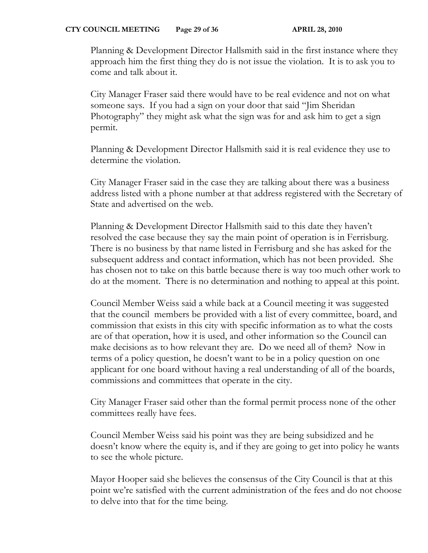Planning & Development Director Hallsmith said in the first instance where they approach him the first thing they do is not issue the violation. It is to ask you to come and talk about it.

City Manager Fraser said there would have to be real evidence and not on what someone says. If you had a sign on your door that said "Jim Sheridan Photography" they might ask what the sign was for and ask him to get a sign permit.

Planning & Development Director Hallsmith said it is real evidence they use to determine the violation.

City Manager Fraser said in the case they are talking about there was a business address listed with a phone number at that address registered with the Secretary of State and advertised on the web.

Planning & Development Director Hallsmith said to this date they haven't resolved the case because they say the main point of operation is in Ferrisburg. There is no business by that name listed in Ferrisburg and she has asked for the subsequent address and contact information, which has not been provided. She has chosen not to take on this battle because there is way too much other work to do at the moment. There is no determination and nothing to appeal at this point.

Council Member Weiss said a while back at a Council meeting it was suggested that the council members be provided with a list of every committee, board, and commission that exists in this city with specific information as to what the costs are of that operation, how it is used, and other information so the Council can make decisions as to how relevant they are. Do we need all of them? Now in terms of a policy question, he doesn't want to be in a policy question on one applicant for one board without having a real understanding of all of the boards, commissions and committees that operate in the city.

City Manager Fraser said other than the formal permit process none of the other committees really have fees.

Council Member Weiss said his point was they are being subsidized and he doesn't know where the equity is, and if they are going to get into policy he wants to see the whole picture.

Mayor Hooper said she believes the consensus of the City Council is that at this point we're satisfied with the current administration of the fees and do not choose to delve into that for the time being.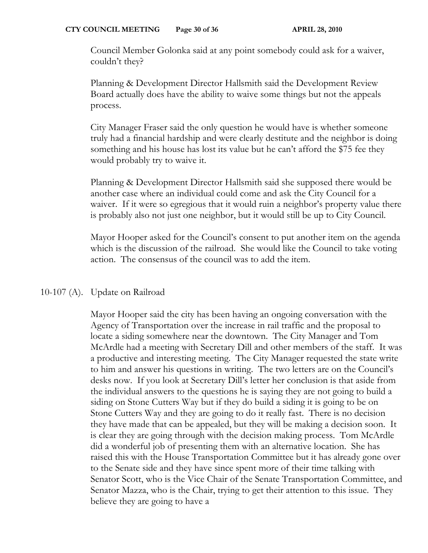Council Member Golonka said at any point somebody could ask for a waiver, couldn't they?

Planning & Development Director Hallsmith said the Development Review Board actually does have the ability to waive some things but not the appeals process.

City Manager Fraser said the only question he would have is whether someone truly had a financial hardship and were clearly destitute and the neighbor is doing something and his house has lost its value but he can't afford the \$75 fee they would probably try to waive it.

Planning & Development Director Hallsmith said she supposed there would be another case where an individual could come and ask the City Council for a waiver. If it were so egregious that it would ruin a neighbor's property value there is probably also not just one neighbor, but it would still be up to City Council.

Mayor Hooper asked for the Council's consent to put another item on the agenda which is the discussion of the railroad. She would like the Council to take voting action. The consensus of the council was to add the item.

# 10-107 (A). Update on Railroad

Mayor Hooper said the city has been having an ongoing conversation with the Agency of Transportation over the increase in rail traffic and the proposal to locate a siding somewhere near the downtown. The City Manager and Tom McArdle had a meeting with Secretary Dill and other members of the staff. It was a productive and interesting meeting. The City Manager requested the state write to him and answer his questions in writing. The two letters are on the Council's desks now. If you look at Secretary Dill's letter her conclusion is that aside from the individual answers to the questions he is saying they are not going to build a siding on Stone Cutters Way but if they do build a siding it is going to be on Stone Cutters Way and they are going to do it really fast. There is no decision they have made that can be appealed, but they will be making a decision soon. It is clear they are going through with the decision making process. Tom McArdle did a wonderful job of presenting them with an alternative location. She has raised this with the House Transportation Committee but it has already gone over to the Senate side and they have since spent more of their time talking with Senator Scott, who is the Vice Chair of the Senate Transportation Committee, and Senator Mazza, who is the Chair, trying to get their attention to this issue. They believe they are going to have a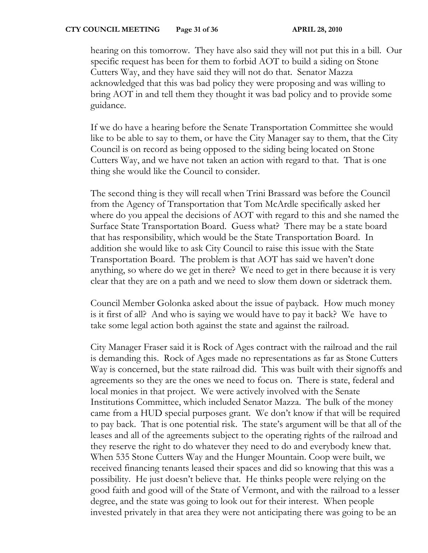hearing on this tomorrow. They have also said they will not put this in a bill. Our specific request has been for them to forbid AOT to build a siding on Stone Cutters Way, and they have said they will not do that. Senator Mazza acknowledged that this was bad policy they were proposing and was willing to bring AOT in and tell them they thought it was bad policy and to provide some guidance.

If we do have a hearing before the Senate Transportation Committee she would like to be able to say to them, or have the City Manager say to them, that the City Council is on record as being opposed to the siding being located on Stone Cutters Way, and we have not taken an action with regard to that. That is one thing she would like the Council to consider.

The second thing is they will recall when Trini Brassard was before the Council from the Agency of Transportation that Tom McArdle specifically asked her where do you appeal the decisions of AOT with regard to this and she named the Surface State Transportation Board. Guess what? There may be a state board that has responsibility, which would be the State Transportation Board. In addition she would like to ask City Council to raise this issue with the State Transportation Board. The problem is that AOT has said we haven't done anything, so where do we get in there? We need to get in there because it is very clear that they are on a path and we need to slow them down or sidetrack them.

Council Member Golonka asked about the issue of payback. How much money is it first of all? And who is saying we would have to pay it back? We have to take some legal action both against the state and against the railroad.

City Manager Fraser said it is Rock of Ages contract with the railroad and the rail is demanding this. Rock of Ages made no representations as far as Stone Cutters Way is concerned, but the state railroad did. This was built with their signoffs and agreements so they are the ones we need to focus on. There is state, federal and local monies in that project. We were actively involved with the Senate Institutions Committee, which included Senator Mazza. The bulk of the money came from a HUD special purposes grant. We don't know if that will be required to pay back. That is one potential risk. The state's argument will be that all of the leases and all of the agreements subject to the operating rights of the railroad and they reserve the right to do whatever they need to do and everybody knew that. When 535 Stone Cutters Way and the Hunger Mountain. Coop were built, we received financing tenants leased their spaces and did so knowing that this was a possibility. He just doesn't believe that. He thinks people were relying on the good faith and good will of the State of Vermont, and with the railroad to a lesser degree, and the state was going to look out for their interest. When people invested privately in that area they were not anticipating there was going to be an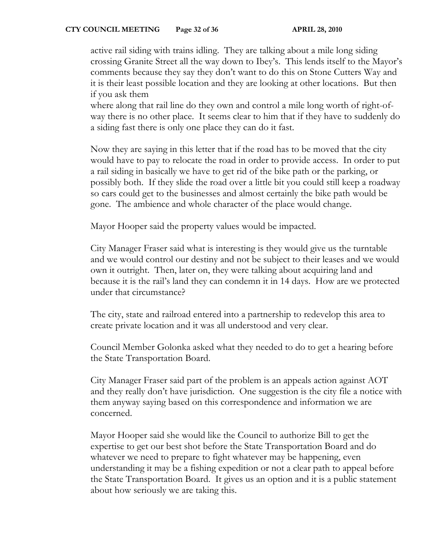#### **CTY COUNCIL MEETING** Page 32 of 36 **APRIL 28, 2010**

active rail siding with trains idling. They are talking about a mile long siding crossing Granite Street all the way down to Ibey's. This lends itself to the Mayor's comments because they say they don't want to do this on Stone Cutters Way and it is their least possible location and they are looking at other locations. But then if you ask them

where along that rail line do they own and control a mile long worth of right-ofway there is no other place. It seems clear to him that if they have to suddenly do a siding fast there is only one place they can do it fast.

Now they are saying in this letter that if the road has to be moved that the city would have to pay to relocate the road in order to provide access. In order to put a rail siding in basically we have to get rid of the bike path or the parking, or possibly both. If they slide the road over a little bit you could still keep a roadway so cars could get to the businesses and almost certainly the bike path would be gone. The ambience and whole character of the place would change.

Mayor Hooper said the property values would be impacted.

City Manager Fraser said what is interesting is they would give us the turntable and we would control our destiny and not be subject to their leases and we would own it outright. Then, later on, they were talking about acquiring land and because it is the rail's land they can condemn it in 14 days. How are we protected under that circumstance?

The city, state and railroad entered into a partnership to redevelop this area to create private location and it was all understood and very clear.

Council Member Golonka asked what they needed to do to get a hearing before the State Transportation Board.

City Manager Fraser said part of the problem is an appeals action against AOT and they really don't have jurisdiction. One suggestion is the city file a notice with them anyway saying based on this correspondence and information we are concerned.

Mayor Hooper said she would like the Council to authorize Bill to get the expertise to get our best shot before the State Transportation Board and do whatever we need to prepare to fight whatever may be happening, even understanding it may be a fishing expedition or not a clear path to appeal before the State Transportation Board. It gives us an option and it is a public statement about how seriously we are taking this.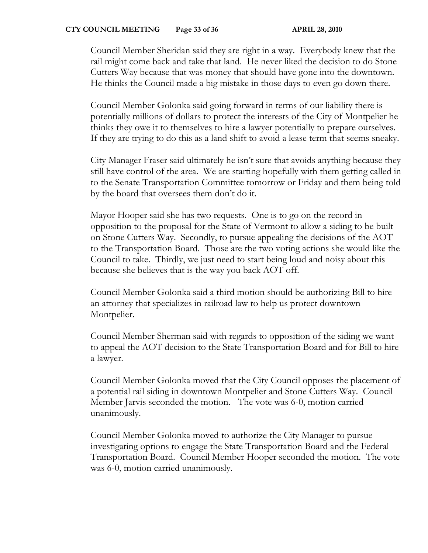Council Member Sheridan said they are right in a way. Everybody knew that the rail might come back and take that land. He never liked the decision to do Stone Cutters Way because that was money that should have gone into the downtown. He thinks the Council made a big mistake in those days to even go down there.

Council Member Golonka said going forward in terms of our liability there is potentially millions of dollars to protect the interests of the City of Montpelier he thinks they owe it to themselves to hire a lawyer potentially to prepare ourselves. If they are trying to do this as a land shift to avoid a lease term that seems sneaky.

City Manager Fraser said ultimately he isn't sure that avoids anything because they still have control of the area. We are starting hopefully with them getting called in to the Senate Transportation Committee tomorrow or Friday and them being told by the board that oversees them don't do it.

Mayor Hooper said she has two requests. One is to go on the record in opposition to the proposal for the State of Vermont to allow a siding to be built on Stone Cutters Way. Secondly, to pursue appealing the decisions of the AOT to the Transportation Board. Those are the two voting actions she would like the Council to take. Thirdly, we just need to start being loud and noisy about this because she believes that is the way you back AOT off.

Council Member Golonka said a third motion should be authorizing Bill to hire an attorney that specializes in railroad law to help us protect downtown Montpelier.

Council Member Sherman said with regards to opposition of the siding we want to appeal the AOT decision to the State Transportation Board and for Bill to hire a lawyer.

Council Member Golonka moved that the City Council opposes the placement of a potential rail siding in downtown Montpelier and Stone Cutters Way. Council Member Jarvis seconded the motion. The vote was 6-0, motion carried unanimously.

Council Member Golonka moved to authorize the City Manager to pursue investigating options to engage the State Transportation Board and the Federal Transportation Board. Council Member Hooper seconded the motion. The vote was 6-0, motion carried unanimously.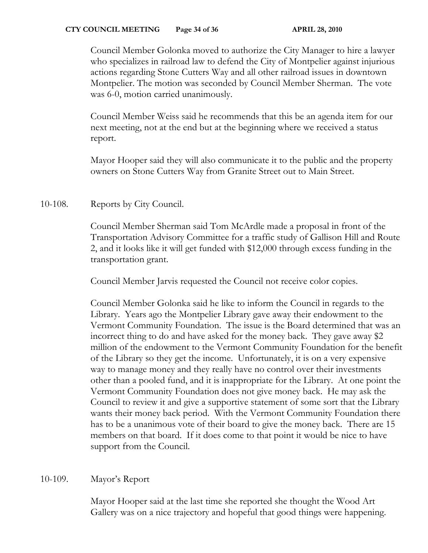Council Member Golonka moved to authorize the City Manager to hire a lawyer who specializes in railroad law to defend the City of Montpelier against injurious actions regarding Stone Cutters Way and all other railroad issues in downtown Montpelier. The motion was seconded by Council Member Sherman. The vote was 6-0, motion carried unanimously.

Council Member Weiss said he recommends that this be an agenda item for our next meeting, not at the end but at the beginning where we received a status report.

Mayor Hooper said they will also communicate it to the public and the property owners on Stone Cutters Way from Granite Street out to Main Street.

10-108. Reports by City Council.

Council Member Sherman said Tom McArdle made a proposal in front of the Transportation Advisory Committee for a traffic study of Gallison Hill and Route 2, and it looks like it will get funded with \$12,000 through excess funding in the transportation grant.

Council Member Jarvis requested the Council not receive color copies.

Council Member Golonka said he like to inform the Council in regards to the Library. Years ago the Montpelier Library gave away their endowment to the Vermont Community Foundation. The issue is the Board determined that was an incorrect thing to do and have asked for the money back. They gave away \$2 million of the endowment to the Vermont Community Foundation for the benefit of the Library so they get the income. Unfortunately, it is on a very expensive way to manage money and they really have no control over their investments other than a pooled fund, and it is inappropriate for the Library. At one point the Vermont Community Foundation does not give money back. He may ask the Council to review it and give a supportive statement of some sort that the Library wants their money back period. With the Vermont Community Foundation there has to be a unanimous vote of their board to give the money back. There are 15 members on that board. If it does come to that point it would be nice to have support from the Council.

# 10-109. Mayor's Report

Mayor Hooper said at the last time she reported she thought the Wood Art Gallery was on a nice trajectory and hopeful that good things were happening.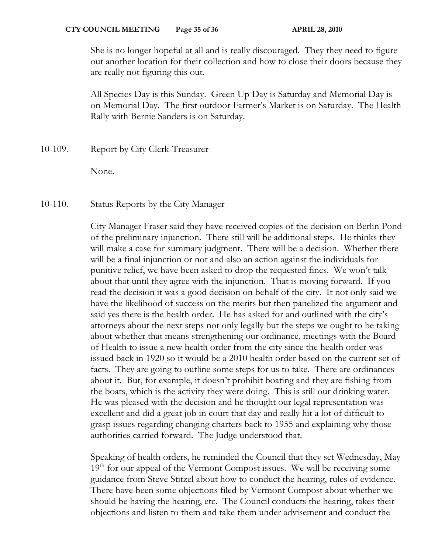She is no longer hopeful at all and is really discouraged. They they need to figure out another location for their collection and how to close their doors because they are really not figuring this out.

All Species Day is this Sunday. Green Up Day is Saturday and Memorial Day is on Memorial Day. The first outdoor Farmer's Market is on Saturday. The Health Rally with Bernie Sanders is on Saturday.

10-109. Report by City Clerk-Treasurer

None.

10-110. Status Reports by the City Manager

City Manager Fraser said they have received copies of the decision on Berlin Pond of the preliminary injunction. There still will be additional steps. He thinks they will make a case for summary judgment. There will be a decision. Whether there will be a final injunction or not and also an action against the individuals for punitive relief, we have been asked to drop the requested fines. We won't talk about that until they agree with the injunction. That is moving forward. If you read the decision it was a good decision on behalf of the city. It not only said we have the likelihood of success on the merits but then panelized the argument and said yes there is the health order. He has asked for and outlined with the city's attorneys about the next steps not only legally but the steps we ought to be taking about whether that means strengthening our ordinance, meetings with the Board of Health to issue a new health order from the city since the health order was issued back in 1920 so it would be a 2010 health order based on the current set of facts. They are going to outline some steps for us to take. There are ordinances about it. But, for example, it doesn't prohibit boating and they are fishing from the boats, which is the activity they were doing. This is still our drinking water. He was pleased with the decision and he thought our legal representation was excellent and did a great job in court that day and really hit a lot of difficult to grasp issues regarding changing charters back to 1955 and explaining why those authorities carried forward. The Judge understood that.

Speaking of health orders, he reminded the Council that they set Wednesday, May  $19<sup>th</sup>$  for our appeal of the Vermont Compost issues. We will be receiving some guidance from Steve Stitzel about how to conduct the hearing, rules of evidence. There have been some objections filed by Vermont Compost about whether we should be having the hearing, etc. The Council conducts the hearing, takes their objections and listen to them and take them under advisement and conduct the